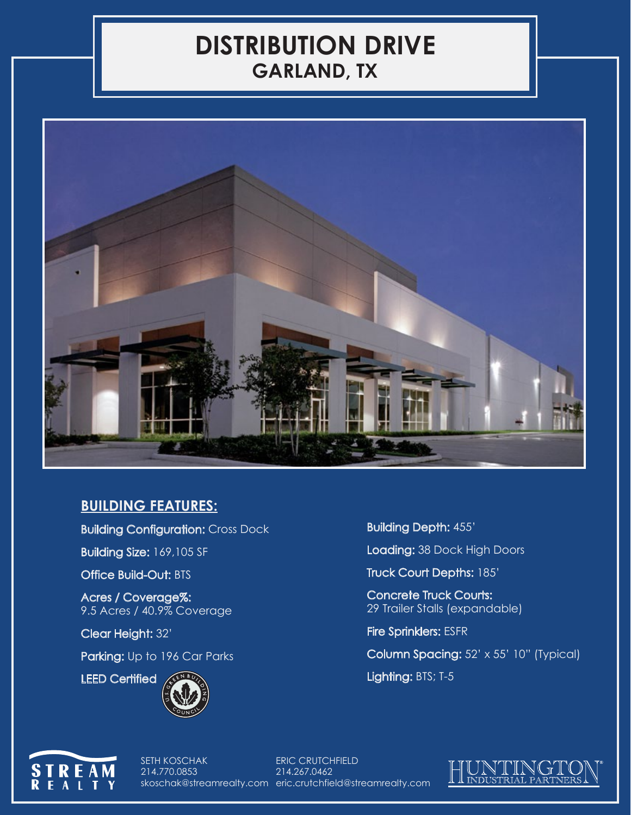## **DISTRIBUTION DRIVE GARLAND, TX**



## **BUILDING FEATURES:**

Building Configuration: Cross Dock

Building Size: 169,105 SF

Office Build-Out: BTS

Acres / Coverage%: 9.5 Acres / 40.9% Coverage

Clear Height: 32'

Parking: Up to 196 Car Parks



Building Depth: 455'

Loading: 38 Dock High Doors

Truck Court Depths: 185'

Concrete Truck Courts: 29 Trailer Stalls (expandable)

Fire Sprinklers: ESFR

Column Spacing: 52' x 55' 10" (Typical)

Lighting: BTS; T-5



SETH KOSCHAK 214.770.0853

skoschak@streamrealty.com eric.crutchfield@streamrealty.com ERIC CRUTCHFIELD 214.267.0462

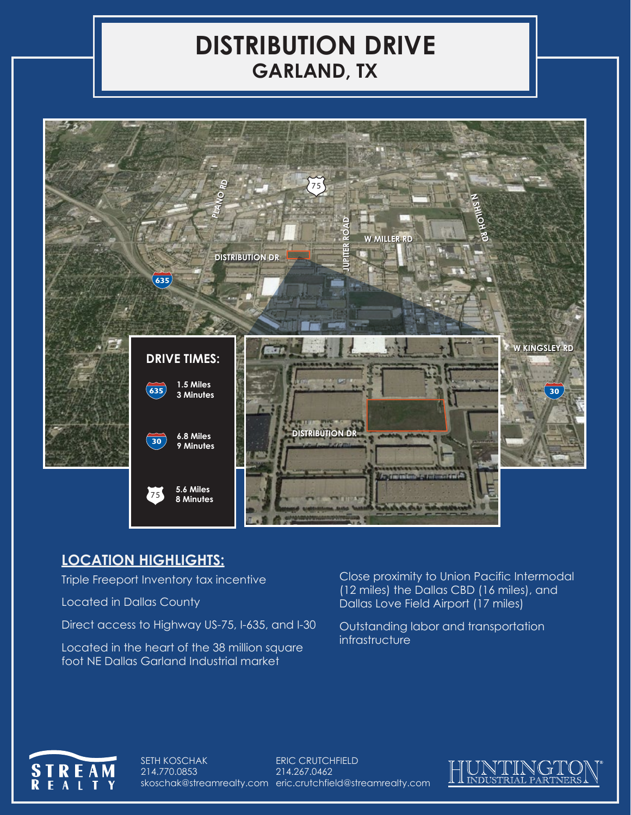## **DISTRIBUTION DRIVE GARLAND, TX**



## **LOCATION HIGHLIGHTS:**

Triple Freeport Inventory tax incentive

Located in Dallas County

Direct access to Highway US-75, I-635, and I-30

Located in the heart of the 38 million square foot NE Dallas Garland Industrial market

Close proximity to Union Pacific Intermodal (12 miles) the Dallas CBD (16 miles), and Dallas Love Field Airport (17 miles)

Outstanding labor and transportation infrastructure



SETH KOSCHAK 214.770.0853 skoschak@streamrealty.com eric.crutchfield@streamrealty.comERIC CRUTCHFIELD 214.267.0462